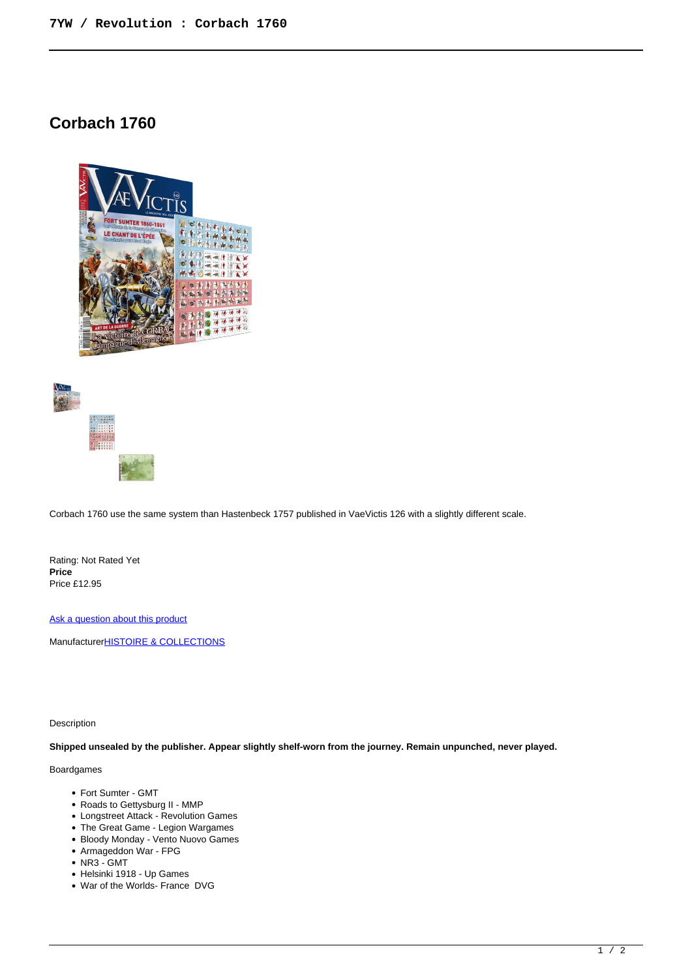# **Corbach 1760**





Corbach 1760 use the same system than Hastenbeck 1757 published in VaeVictis 126 with a slightly different scale.

Rating: Not Rated Yet **Price**  Price £12.95

[Ask a question about this product](https://www.secondchancegames.com/index.php?option=com_virtuemart&view=productdetails&task=askquestion&virtuemart_product_id=13739&virtuemart_category_id=13&tmpl=component)

Manufacturer**[HISTOIRE & COLLECTIONS](https://www.secondchancegames.com/index.php?option=com_virtuemart&view=manufacturer&virtuemart_manufacturer_id=2533&tmpl=component)** 

Description

**Shipped unsealed by the publisher. Appear slightly shelf-worn from the journey. Remain unpunched, never played.**

# Boardgames

- Fort Sumter GMT
- Roads to Gettysburg II MMP
- Longstreet Attack Revolution Games
- The Great Game Legion Wargames
- Bloody Monday Vento Nuovo Games
- Armageddon War FPG
- NR3 GMT
- Helsinki 1918 Up Games
- War of the Worlds- France DVG